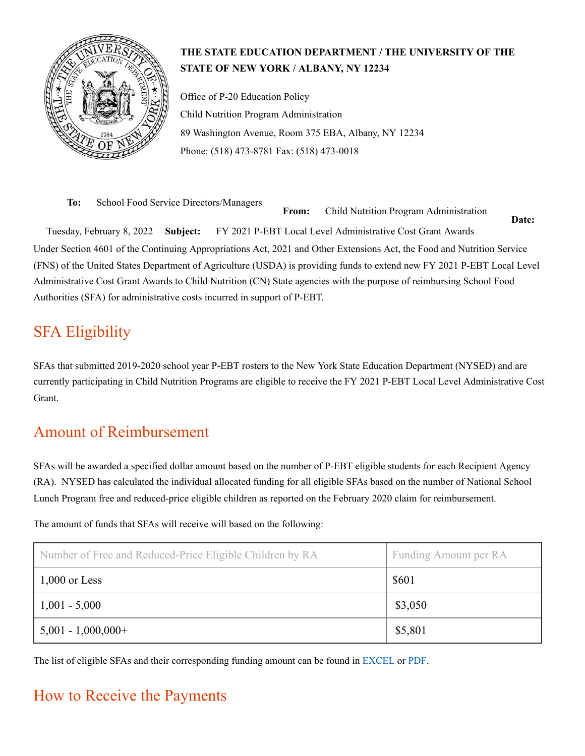

#### **THE STATE EDUCATION DEPARTMENT / THE UNIVERSITY OF THE STATE OF NEW YORK / ALBANY, NY 12234**

Office of P-20 Education Policy Child Nutrition Program Administration 89 Washington Avenue, Room 375 EBA, Albany, NY 12234 Phone: (518) 473-8781 Fax: (518) 473-0018

**To:** School Food Service Directors/Managers **From:** Child Nutrition Program Administration **Date:**

Tuesday, February 8, 2022 **Subject:** FY 2021 P-EBT Local Level Administrative Cost Grant Awards Under Section 4601 of the Continuing Appropriations Act, 2021 and Other Extensions Act, the Food and Nutrition Service (FNS) of the United States Department of Agriculture (USDA) is providing funds to extend new FY 2021 P-EBT Local Level Administrative Cost Grant Awards to Child Nutrition (CN) State agencies with the purpose of reimbursing School Food Authorities (SFA) for administrative costs incurred in support of P-EBT.

# SFA Eligibility

SFAs that submitted 2019-2020 school year P-EBT rosters to the New York State Education Department (NYSED) and are currently participating in Child Nutrition Programs are eligible to receive the FY 2021 P-EBT Local Level Administrative Cost Grant.

## Amount of Reimbursement

SFAs will be awarded a specified dollar amount based on the number of P-EBT eligible students for each Recipient Agency (RA). NYSED has calculated the individual allocated funding for all eligible SFAs based on the number of National School Lunch Program free and reduced-price eligible children as reported on the February 2020 claim for reimbursement.

The amount of funds that SFAs will receive will based on the following:

| Number of Free and Reduced-Price Eligible Children by RA | Funding Amount per RA |
|----------------------------------------------------------|-----------------------|
| $1,000$ or Less                                          | \$601                 |
| $1,001 - 5,000$                                          | \$3,050               |
| $5,001 - 1,000,000 +$                                    | \$5,801               |

The list of eligible SFAs and their corresponding funding amount can be found in [EXCEL](http://www.cn.nysed.gov/common/cn/files/pebtadmincostgrant.xlsx) or [PDF.](http://www.cn.nysed.gov/common/cn/files/pebtadmincostgrant.pdf)

# How to Receive the Payments